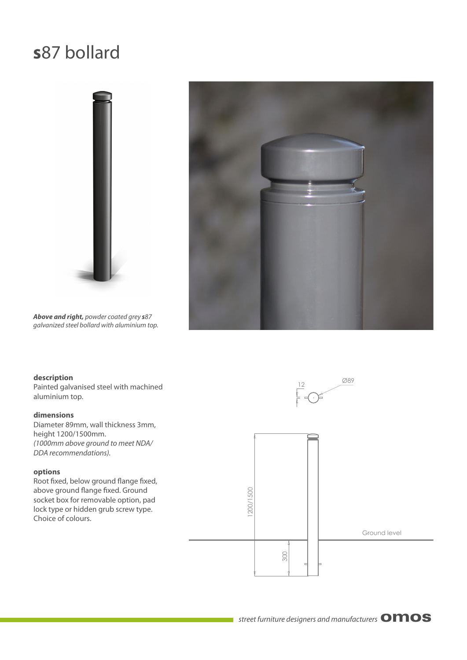### **s**87 bollard





*Above and right,* powder coated grey *s*87 galvanized steel bollard with aluminium top.

#### **description**

Painted galvanised steel with machined aluminium top.

#### **dimensions**

Diameter 89mm, wall thickness 3mm, height 1200/1500mm. (1000mm above ground to meet NDA/ DDA recommendations).

#### **options**

Root fixed, below ground flange fixed, above ground flange fixed. Ground socket box for removable option, pad lock type or hidden grub screw type. Choice of colours.

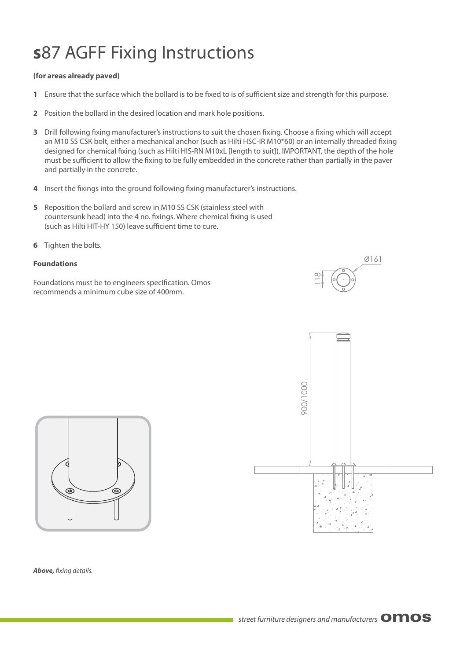## **s**87 AGFF Fixing Instructions

#### **(for areas already paved)**

- **1** Ensure that the surface which the bollard is to be fixed to is of sufficient size and strength for this purpose.
- **2** Position the bollard in the desired location and mark hole positions.
- **3** Drill following fixing manufacturer's instructions to suit the chosen fixing. Choose a fixing which will accept an M10 SS CSK bolt, either a mechanical anchor (such as Hilti HSC-IR M10\*60) or an internally threaded fixing designed for chemical fixing (such as Hilti HIS-RN M10xL [length to suit]). IMPORTANT, the depth of the hole must be sufficient to allow the fixing to be fully embedded in the concrete rather than partially in the paver and partially in the concrete.
- **4** Insert the fixings into the ground following fixing manufacturer's instructions.
- **5** Reposition the bollard and screw in M10 SS CSK (stainless steel with countersunk head) into the 4 no. fixings. Where chemical fixing is used (such as Hilti HIT-HY 150) leave sufficient time to cure.
- **6** Tighten the bolts.

#### **Foundations**

Foundations must be to engineers specification. Omos recommends a minimum cube size of 400mm.







**Above,** fixing details.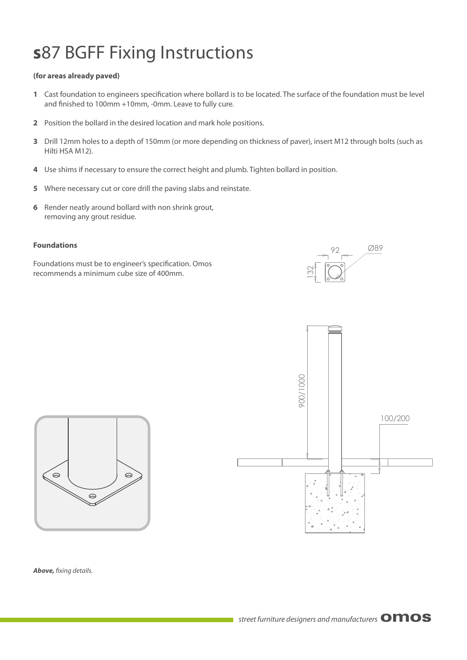## **s**87 BGFF Fixing Instructions

#### **(for areas already paved)**

- 1 Cast foundation to engineers specification where bollard is to be located. The surface of the foundation must be level and finished to 100mm +10mm, -0mm. Leave to fully cure.
- **2** Position the bollard in the desired location and mark hole positions.
- **3** Drill 12mm holes to a depth of 150mm (or more depending on thickness of paver), insert M12 through bolts (such as Hilti HSA M12).
- **4** Use shims if necessary to ensure the correct height and plumb. Tighten bollard in position.
- **5** Where necessary cut or core drill the paving slabs and reinstate.
- **6** Render neatly around bollard with non shrink grout, removing any grout residue.

#### **Foundations**

Foundations must be to engineer's specification. Omos recommends a minimum cube size of 400mm.







**Above,** fixing details.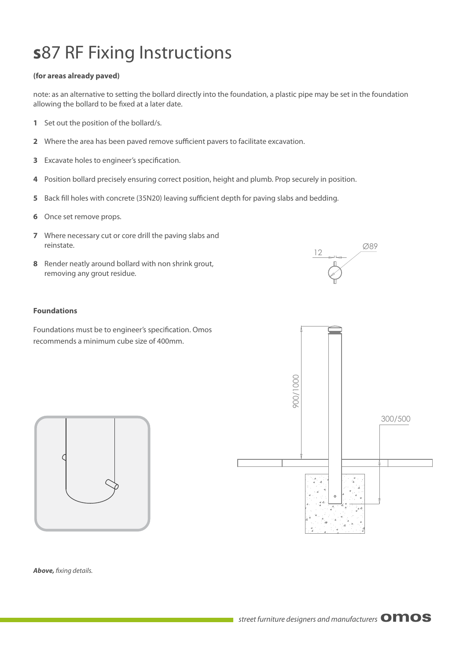### **s**87 RF Fixing Instructions

#### **(for areas already paved)**

note: as an alternative to setting the bollard directly into the foundation, a plastic pipe may be set in the foundation allowing the bollard to be fixed at a later date.

- **1** Set out the position of the bollard/s.
- **2** Where the area has been paved remove sufficient pavers to facilitate excavation.
- **3** Excavate holes to engineer's specification.
- **4** Position bollard precisely ensuring correct position, height and plumb. Prop securely in position.
- **5** Back fill holes with concrete (35N20) leaving sufficient depth for paving slabs and bedding.
- **6** Once set remove props.
- **7** Where necessary cut or core drill the paving slabs and reinstate.
- **8** Render neatly around bollard with non shrink grout, removing any grout residue.

# 12 Ø89

#### **Foundations**

Foundations must be to engineer's specification. Omos recommends a minimum cube size of 400mm.





**Above,** fixing details.